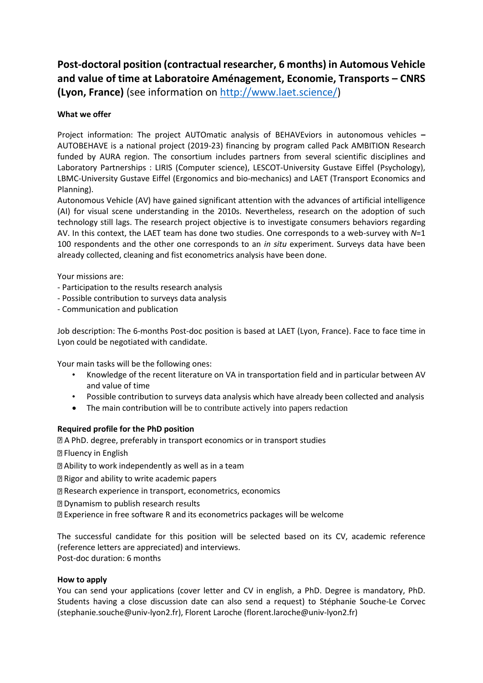## **Post-doctoral position (contractual researcher, 6 months) in Automous Vehicle and value of time at Laboratoire Aménagement, Economie, Transports – CNRS (Lyon, France)** (see information on [http://www.laet.science/\)](http://www.laet.science/)

## **What we offer**

Project information: The project AUTOmatic analysis of BEHAVEviors in autonomous vehicles **–** AUTOBEHAVE is a national project (2019-23) financing by program called Pack AMBITION Research funded by AURA region. The consortium includes partners from several scientific disciplines and Laboratory Partnerships : LIRIS (Computer science), LESCOT-University Gustave Eiffel (Psychology), LBMC-University Gustave Eiffel (Ergonomics and bio-mechanics) and LAET (Transport Economics and Planning).

Autonomous Vehicle (AV) have gained significant attention with the advances of artificial intelligence (AI) for visual scene understanding in the 2010s. Nevertheless, research on the adoption of such technology still lags. The research project objective is to investigate consumers behaviors regarding AV. In this context, the LAET team has done two studies. One corresponds to a web-survey with *N*=1 100 respondents and the other one corresponds to an *in situ* experiment. Surveys data have been already collected, cleaning and fist econometrics analysis have been done.

Your missions are:

- Participation to the results research analysis
- Possible contribution to surveys data analysis
- Communication and publication

Job description: The 6-months Post-doc position is based at LAET (Lyon, France). Face to face time in Lyon could be negotiated with candidate.

Your main tasks will be the following ones:

- Knowledge of the recent literature on VA in transportation field and in particular between AV and value of time
- Possible contribution to surveys data analysis which have already been collected and analysis
- The main contribution will be to contribute actively into papers redaction

## **Required profile for the PhD position**

A PhD. degree, preferably in transport economics or in transport studies

**P** Fluency in English

- Ability to work independently as well as in a team
- Rigor and ability to write academic papers
- Research experience in transport, econometrics, economics
- Dynamism to publish research results
- Experience in free software R and its econometrics packages will be welcome

The successful candidate for this position will be selected based on its CV, academic reference (reference letters are appreciated) and interviews. Post-doc duration: 6 months

## **How to apply**

You can send your applications (cover letter and CV in english, a PhD. Degree is mandatory, PhD. Students having a close discussion date can also send a request) to Stéphanie Souche-Le Corvec (stephanie.souche@univ-lyon2.fr), Florent Laroche (florent.laroche@univ-lyon2.fr)